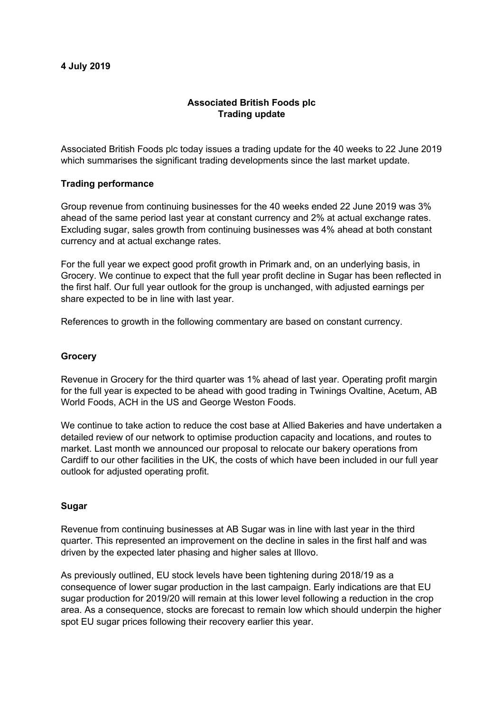### **4 July 2019**

# **Associated British Foods plc Trading update**

Associated British Foods plc today issues a trading update for the 40 weeks to 22 June 2019 which summarises the significant trading developments since the last market update.

## **Trading performance**

Group revenue from continuing businesses for the 40 weeks ended 22 June 2019 was 3% ahead of the same period last year at constant currency and 2% at actual exchange rates. Excluding sugar, sales growth from continuing businesses was 4% ahead at both constant currency and at actual exchange rates.

For the full year we expect good profit growth in Primark and, on an underlying basis, in Grocery. We continue to expect that the full year profit decline in Sugar has been reflected in the first half. Our full year outlook for the group is unchanged, with adjusted earnings per share expected to be in line with last year.

References to growth in the following commentary are based on constant currency.

### **Grocery**

Revenue in Grocery for the third quarter was 1% ahead of last year. Operating profit margin for the full year is expected to be ahead with good trading in Twinings Ovaltine, Acetum, AB World Foods, ACH in the US and George Weston Foods.

We continue to take action to reduce the cost base at Allied Bakeries and have undertaken a detailed review of our network to optimise production capacity and locations, and routes to market. Last month we announced our proposal to relocate our bakery operations from Cardiff to our other facilities in the UK, the costs of which have been included in our full year outlook for adjusted operating profit.

### **Sugar**

Revenue from continuing businesses at AB Sugar was in line with last year in the third quarter. This represented an improvement on the decline in sales in the first half and was driven by the expected later phasing and higher sales at Illovo.

As previously outlined, EU stock levels have been tightening during 2018/19 as a consequence of lower sugar production in the last campaign. Early indications are that EU sugar production for 2019/20 will remain at this lower level following a reduction in the crop area. As a consequence, stocks are forecast to remain low which should underpin the higher spot EU sugar prices following their recovery earlier this year.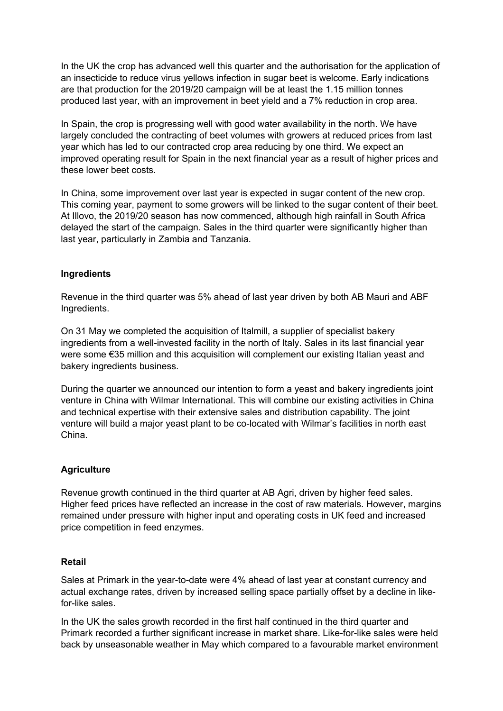In the UK the crop has advanced well this quarter and the authorisation for the application of an insecticide to reduce virus yellows infection in sugar beet is welcome. Early indications are that production for the 2019/20 campaign will be at least the 1.15 million tonnes produced last year, with an improvement in beet yield and a 7% reduction in crop area.

In Spain, the crop is progressing well with good water availability in the north. We have largely concluded the contracting of beet volumes with growers at reduced prices from last year which has led to our contracted crop area reducing by one third. We expect an improved operating result for Spain in the next financial year as a result of higher prices and these lower beet costs.

In China, some improvement over last year is expected in sugar content of the new crop. This coming year, payment to some growers will be linked to the sugar content of their beet. At Illovo, the 2019/20 season has now commenced, although high rainfall in South Africa delayed the start of the campaign. Sales in the third quarter were significantly higher than last year, particularly in Zambia and Tanzania.

### **Ingredients**

Revenue in the third quarter was 5% ahead of last year driven by both AB Mauri and ABF Ingredients.

On 31 May we completed the acquisition of Italmill, a supplier of specialist bakery ingredients from a well-invested facility in the north of Italy. Sales in its last financial year were some €35 million and this acquisition will complement our existing Italian yeast and bakery ingredients business.

During the quarter we announced our intention to form a yeast and bakery ingredients joint venture in China with Wilmar International. This will combine our existing activities in China and technical expertise with their extensive sales and distribution capability. The joint venture will build a major yeast plant to be co-located with Wilmar's facilities in north east China.

### **Agriculture**

Revenue growth continued in the third quarter at AB Agri, driven by higher feed sales. Higher feed prices have reflected an increase in the cost of raw materials. However, margins remained under pressure with higher input and operating costs in UK feed and increased price competition in feed enzymes.

### **Retail**

Sales at Primark in the year-to-date were 4% ahead of last year at constant currency and actual exchange rates, driven by increased selling space partially offset by a decline in likefor-like sales.

In the UK the sales growth recorded in the first half continued in the third quarter and Primark recorded a further significant increase in market share. Like-for-like sales were held back by unseasonable weather in May which compared to a favourable market environment